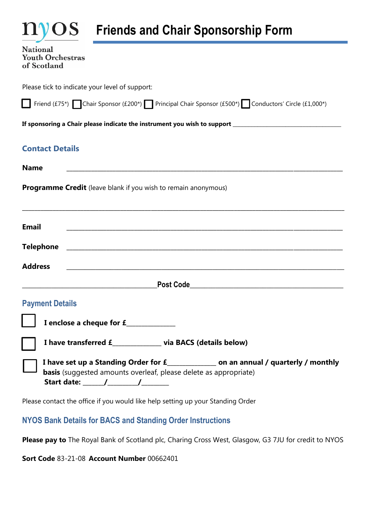|  |  | <b>Friends and Chair Sponsorship Form</b> |  |
|--|--|-------------------------------------------|--|
|  |  |                                           |  |

National **Youth Orchestras** of Scotland

**nvos** 

Please tick to indicate your level of support:

|  |  |  | Friend (£75*) Chair Sponsor (£200*) Principal Chair Sponsor (£500*) Conductors' Circle (£1,000*) |  |  |  |  |  |  |
|--|--|--|--------------------------------------------------------------------------------------------------|--|--|--|--|--|--|
|--|--|--|--------------------------------------------------------------------------------------------------|--|--|--|--|--|--|

**If sponsoring a Chair please indicate the instrument you wish to support \_\_\_\_\_\_\_\_\_\_\_\_\_\_\_\_\_\_\_\_\_\_\_\_\_\_\_\_\_\_\_\_\_\_\_**

# **Contact Details**

| <b>Name</b><br><u> 1980 - Jan Sterling von Berling von Berling von Berling von Berling von Berling von Berling von Berling von B</u>                       |
|------------------------------------------------------------------------------------------------------------------------------------------------------------|
| <b>Programme Credit</b> (leave blank if you wish to remain anonymous)                                                                                      |
| <b>Email</b>                                                                                                                                               |
|                                                                                                                                                            |
| <b>Address</b>                                                                                                                                             |
| <u> Andreas Andreas Andreas Andreas Andreas Andreas Andreas Andreas Andreas Andreas Andreas Andreas Andreas Andr</u>                                       |
| <b>Payment Details</b>                                                                                                                                     |
| I enclose a cheque for £______________                                                                                                                     |
| I have transferred £____________ via BACS (details below)                                                                                                  |
| I have set up a Standing Order for £_______________ on an annual / quarterly / monthly<br>basis (suggested amounts overleaf, please delete as appropriate) |
| Please contact the office if you would like help setting up your Standing Order                                                                            |

# **NYOS Bank Details for BACS and Standing Order Instructions**

**Please pay to** The Royal Bank of Scotland plc, Charing Cross West, Glasgow, G3 7JU for credit to NYOS

**Sort Code** 83-21-08 **Account Number** 00662401